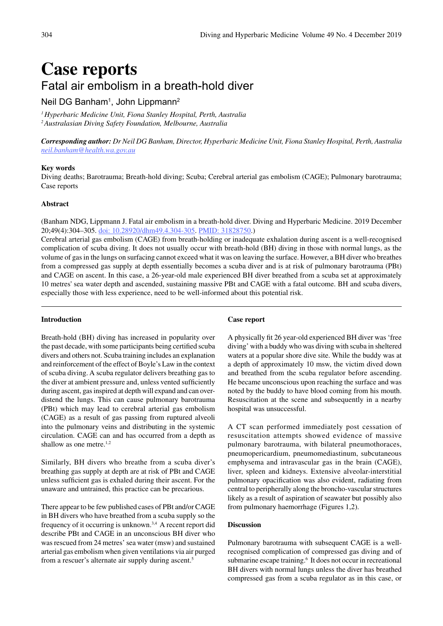# **Case reports** Fatal air embolism in a breath-hold diver

## Neil DG Banham $^{\rm 1}$ , John Lippmann $^{\rm 2}$

*1 Hyperbaric Medicine Unit, Fiona Stanley Hospital, Perth, Australia 2 Australasian Diving Safety Foundation, Melbourne, Australia*

*Corresponding author: Dr Neil DG Banham, Director, Hyperbaric Medicine Unit, Fiona Stanley Hospital, Perth, Australia [neil.banham@health.wa.gov.au](mailto:Neil.Banham%40health.wa.gov.au?subject=)*

#### **Key words**

Diving deaths; Barotrauma; Breath-hold diving; Scuba; Cerebral arterial gas embolism (CAGE); Pulmonary barotrauma; Case reports

#### **Abstract**

(Banham NDG, Lippmann J. Fatal air embolism in a breath-hold diver. Diving and Hyperbaric Medicine. 2019 December 20;49(4):304–305. [doi: 10.28920/dhm49.4.304-305.](https://doi.org/10.28920/dhm49.4.304-305) [PMID: 31828750](https://www.ncbi.nlm.nih.gov/pubmed/31828750).)

Cerebral arterial gas embolism (CAGE) from breath-holding or inadequate exhalation during ascent is a well-recognised complication of scuba diving. It does not usually occur with breath-hold (BH) diving in those with normal lungs, as the volume of gas in the lungs on surfacing cannot exceed what it was on leaving the surface. However, a BH diver who breathes from a compressed gas supply at depth essentially becomes a scuba diver and is at risk of pulmonary barotrauma (PBt) and CAGE on ascent. In this case, a 26-year-old male experienced BH diver breathed from a scuba set at approximately 10 metres' sea water depth and ascended, sustaining massive PBt and CAGE with a fatal outcome. BH and scuba divers, especially those with less experience, need to be well-informed about this potential risk.

#### **Introduction**

Breath-hold (BH) diving has increased in popularity over the past decade, with some participants being certified scuba divers and others not. Scuba training includes an explanation and reinforcement of the effect of Boyle's Law in the context of scuba diving. A scuba regulator delivers breathing gas to the diver at ambient pressure and, unless vented sufficiently during ascent, gas inspired at depth will expand and can overdistend the lungs. This can cause pulmonary barotrauma (PBt) which may lead to cerebral arterial gas embolism (CAGE) as a result of gas passing from ruptured alveoli into the pulmonary veins and distributing in the systemic circulation. CAGE can and has occurred from a depth as shallow as one metre.<sup>1,2</sup>

Similarly, BH divers who breathe from a scuba diver's breathing gas supply at depth are at risk of PBt and CAGE unless sufficient gas is exhaled during their ascent. For the unaware and untrained, this practice can be precarious.

There appear to be few published cases of PBt and/or CAGE in BH divers who have breathed from a scuba supply so the frequency of it occurring is unknown.3,4 A recent report did describe PBt and CAGE in an unconscious BH diver who was rescued from 24 metres' sea water (msw) and sustained arterial gas embolism when given ventilations via air purged from a rescuer's alternate air supply during ascent.<sup>5</sup>

#### **Case report**

A physically fit 26 year-old experienced BH diver was 'free diving' with a buddy who was diving with scuba in sheltered waters at a popular shore dive site. While the buddy was at a depth of approximately 10 msw, the victim dived down and breathed from the scuba regulator before ascending. He became unconscious upon reaching the surface and was noted by the buddy to have blood coming from his mouth. Resuscitation at the scene and subsequently in a nearby hospital was unsuccessful.

A CT scan performed immediately post cessation of resuscitation attempts showed evidence of massive pulmonary barotrauma, with bilateral pneumothoraces, pneumopericardium, pneumomediastinum, subcutaneous emphysema and intravascular gas in the brain (CAGE), liver, spleen and kidneys. Extensive alveolar-interstitial pulmonary opacification was also evident, radiating from central to peripherally along the broncho-vascular structures likely as a result of aspiration of seawater but possibly also from pulmonary haemorrhage (Figures 1,2).

#### **Discussion**

Pulmonary barotrauma with subsequent CAGE is a wellrecognised complication of compressed gas diving and of submarine escape training.<sup>6</sup> It does not occur in recreational BH divers with normal lungs unless the diver has breathed compressed gas from a scuba regulator as in this case, or